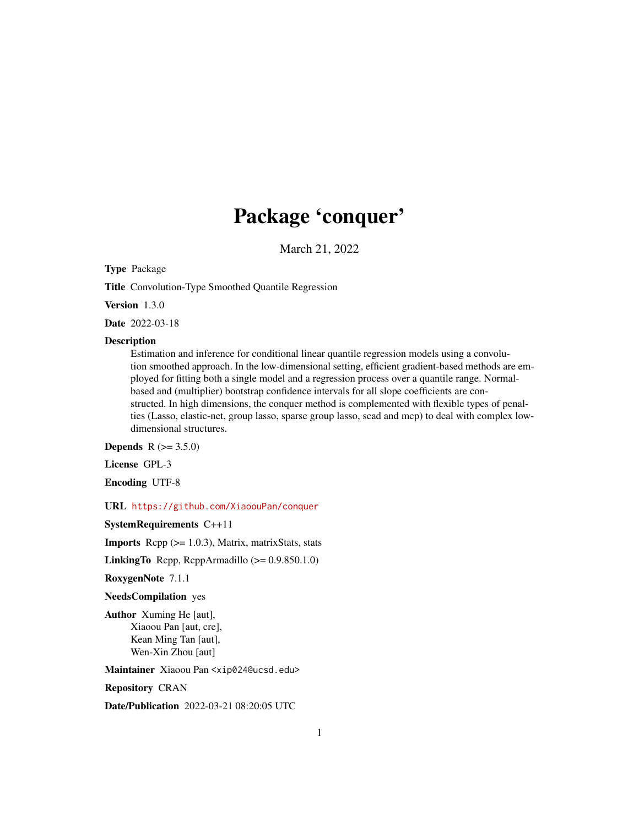## Package 'conquer'

March 21, 2022

Type Package

Title Convolution-Type Smoothed Quantile Regression

Version 1.3.0

Date 2022-03-18

#### Description

Estimation and inference for conditional linear quantile regression models using a convolution smoothed approach. In the low-dimensional setting, efficient gradient-based methods are employed for fitting both a single model and a regression process over a quantile range. Normalbased and (multiplier) bootstrap confidence intervals for all slope coefficients are constructed. In high dimensions, the conquer method is complemented with flexible types of penalties (Lasso, elastic-net, group lasso, sparse group lasso, scad and mcp) to deal with complex lowdimensional structures.

**Depends** R  $(>= 3.5.0)$ 

License GPL-3

Encoding UTF-8

URL <https://github.com/XiaoouPan/conquer>

SystemRequirements C++11

**Imports** Rcpp  $(>= 1.0.3)$ , Matrix, matrixStats, stats

**LinkingTo** Rcpp, RcppArmadillo  $(>= 0.9.850.1.0)$ 

RoxygenNote 7.1.1

NeedsCompilation yes

Author Xuming He [aut], Xiaoou Pan [aut, cre], Kean Ming Tan [aut], Wen-Xin Zhou [aut]

Maintainer Xiaoou Pan <xip024@ucsd.edu>

Repository CRAN

Date/Publication 2022-03-21 08:20:05 UTC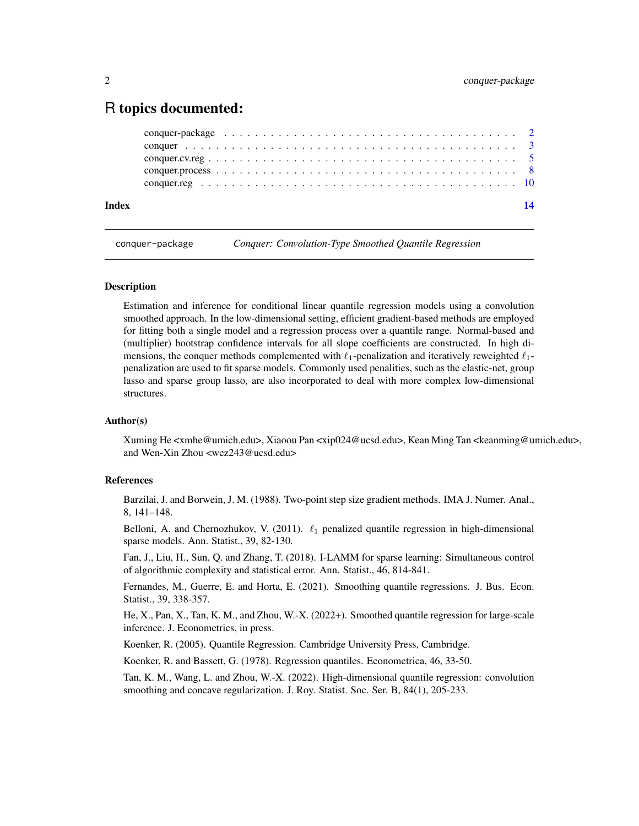#### <span id="page-1-0"></span>R topics documented:

| Index | 14 |
|-------|----|
|       |    |
|       |    |
|       |    |
|       |    |
|       |    |

conquer-package *Conquer: Convolution-Type Smoothed Quantile Regression*

#### Description

Estimation and inference for conditional linear quantile regression models using a convolution smoothed approach. In the low-dimensional setting, efficient gradient-based methods are employed for fitting both a single model and a regression process over a quantile range. Normal-based and (multiplier) bootstrap confidence intervals for all slope coefficients are constructed. In high dimensions, the conquer methods complemented with  $\ell_1$ -penalization and iteratively reweighted  $\ell_1$ penalization are used to fit sparse models. Commonly used penalities, such as the elastic-net, group lasso and sparse group lasso, are also incorporated to deal with more complex low-dimensional structures.

#### Author(s)

Xuming He <xmhe@umich.edu>, Xiaoou Pan <xip024@ucsd.edu>, Kean Ming Tan <keanming@umich.edu>, and Wen-Xin Zhou <wez243@ucsd.edu>

#### References

Barzilai, J. and Borwein, J. M. (1988). Two-point step size gradient methods. IMA J. Numer. Anal., 8, 141–148.

Belloni, A. and Chernozhukov, V. (2011).  $\ell_1$  penalized quantile regression in high-dimensional sparse models. Ann. Statist., 39, 82-130.

Fan, J., Liu, H., Sun, Q. and Zhang, T. (2018). I-LAMM for sparse learning: Simultaneous control of algorithmic complexity and statistical error. Ann. Statist., 46, 814-841.

Fernandes, M., Guerre, E. and Horta, E. (2021). Smoothing quantile regressions. J. Bus. Econ. Statist., 39, 338-357.

He, X., Pan, X., Tan, K. M., and Zhou, W.-X. (2022+). Smoothed quantile regression for large-scale inference. J. Econometrics, in press.

Koenker, R. (2005). Quantile Regression. Cambridge University Press, Cambridge.

Koenker, R. and Bassett, G. (1978). Regression quantiles. Econometrica, 46, 33-50.

Tan, K. M., Wang, L. and Zhou, W.-X. (2022). High-dimensional quantile regression: convolution smoothing and concave regularization. J. Roy. Statist. Soc. Ser. B, 84(1), 205-233.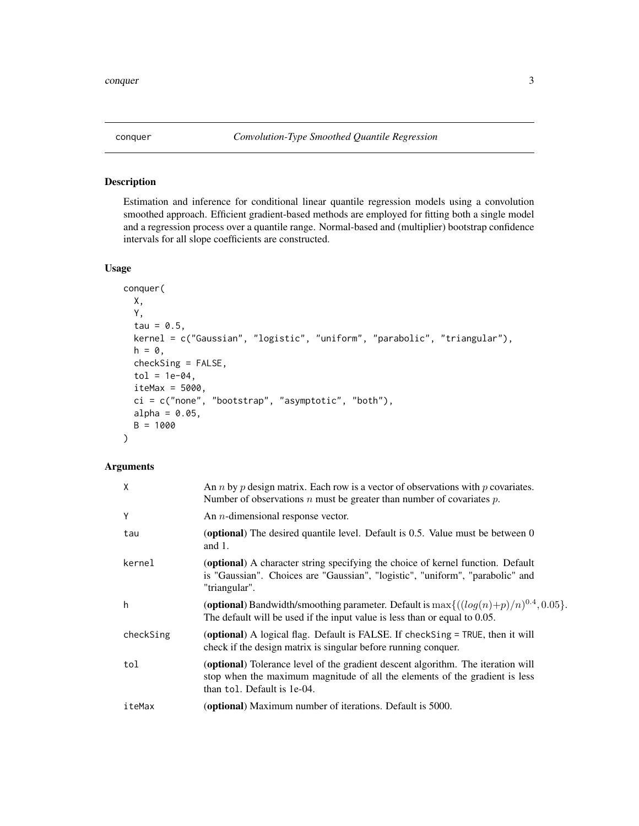#### Description

Estimation and inference for conditional linear quantile regression models using a convolution smoothed approach. Efficient gradient-based methods are employed for fitting both a single model and a regression process over a quantile range. Normal-based and (multiplier) bootstrap confidence intervals for all slope coefficients are constructed.

#### Usage

```
conquer(
 X,
 Y,
  tau = 0.5,
 kernel = c("Gaussian", "logistic", "uniform", "parabolic", "triangular"),
 h = 0,
 checkSing = FALSE,
  tol = 1e-04,iteMax = 5000,
 ci = c("none", "bootstrap", "asymptotic", "both"),
 alpha = 0.05,
 B = 1000)
```
#### Arguments

| X         | An <i>n</i> by <i>p</i> design matrix. Each row is a vector of observations with <i>p</i> covariates.<br>Number of observations $n$ must be greater than number of covariates $p$ .            |
|-----------|------------------------------------------------------------------------------------------------------------------------------------------------------------------------------------------------|
| Υ         | An $n$ -dimensional response vector.                                                                                                                                                           |
| tau       | ( <b>optional</b> ) The desired quantile level. Default is 0.5. Value must be between 0<br>and $1$ .                                                                                           |
| kernel    | (optional) A character string specifying the choice of kernel function. Default<br>is "Gaussian". Choices are "Gaussian", "logistic", "uniform", "parabolic" and<br>"triangular".              |
| h         | (optional) Bandwidth/smoothing parameter. Default is $\max\{((log(n)+p)/n)^{0.4}, 0.05\}.$<br>The default will be used if the input value is less than or equal to 0.05.                       |
| checkSing | (optional) A logical flag. Default is FALSE. If check Sing = TRUE, then it will<br>check if the design matrix is singular before running conquer.                                              |
| tol       | (optional) Tolerance level of the gradient descent algorithm. The iteration will<br>stop when the maximum magnitude of all the elements of the gradient is less<br>than tol. Default is 1e-04. |
| iteMax    | (optional) Maximum number of iterations. Default is 5000.                                                                                                                                      |

<span id="page-2-1"></span><span id="page-2-0"></span>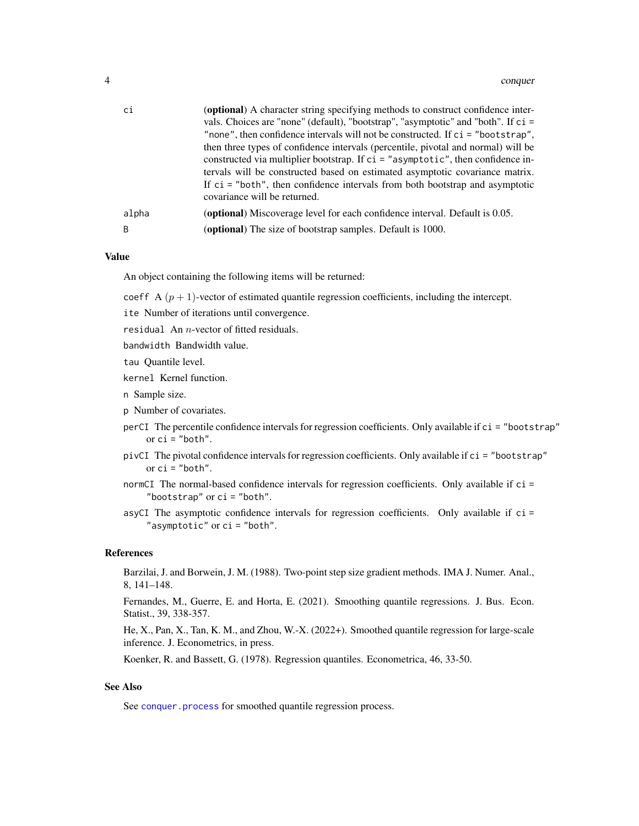<span id="page-3-0"></span>

| ci    | (optional) A character string specifying methods to construct confidence inter-<br>vals. Choices are "none" (default), "bootstrap", "asymptotic" and "both". If ci =<br>"none", then confidence intervals will not be constructed. If ci = "bootstrap",<br>then three types of confidence intervals (percentile, pivotal and normal) will be |
|-------|----------------------------------------------------------------------------------------------------------------------------------------------------------------------------------------------------------------------------------------------------------------------------------------------------------------------------------------------|
|       | constructed via multiplier bootstrap. If $ci = "asymptotic",$ then confidence in-<br>tervals will be constructed based on estimated asymptotic covariance matrix.<br>If $ci$ = "both", then confidence intervals from both bootstrap and asymptotic<br>covariance will be returned.                                                          |
| alpha | (optional) Miscoverage level for each confidence interval. Default is 0.05.                                                                                                                                                                                                                                                                  |
| B     | ( <b>optional</b> ) The size of bootstrap samples. Default is 1000.                                                                                                                                                                                                                                                                          |

#### Value

An object containing the following items will be returned:

coeff A  $(p + 1)$ -vector of estimated quantile regression coefficients, including the intercept.

ite Number of iterations until convergence.

residual An  $n$ -vector of fitted residuals.

bandwidth Bandwidth value.

tau Quantile level.

kernel Kernel function.

n Sample size.

p Number of covariates.

- perCI The percentile confidence intervals for regression coefficients. Only available if ci = "bootstrap" or  $ci$  = "both".
- pivCI The pivotal confidence intervals for regression coefficients. Only available if ci = "bootstrap" or  $ci$  = "both".

normCI The normal-based confidence intervals for regression coefficients. Only available if ci = "bootstrap" or ci = "both".

asyCI The asymptotic confidence intervals for regression coefficients. Only available if ci = "asymptotic" or ci = "both".

#### References

Barzilai, J. and Borwein, J. M. (1988). Two-point step size gradient methods. IMA J. Numer. Anal., 8, 141–148.

Fernandes, M., Guerre, E. and Horta, E. (2021). Smoothing quantile regressions. J. Bus. Econ. Statist., 39, 338-357.

He, X., Pan, X., Tan, K. M., and Zhou, W.-X. (2022+). Smoothed quantile regression for large-scale inference. J. Econometrics, in press.

Koenker, R. and Bassett, G. (1978). Regression quantiles. Econometrica, 46, 33-50.

#### See Also

See [conquer.process](#page-7-1) for smoothed quantile regression process.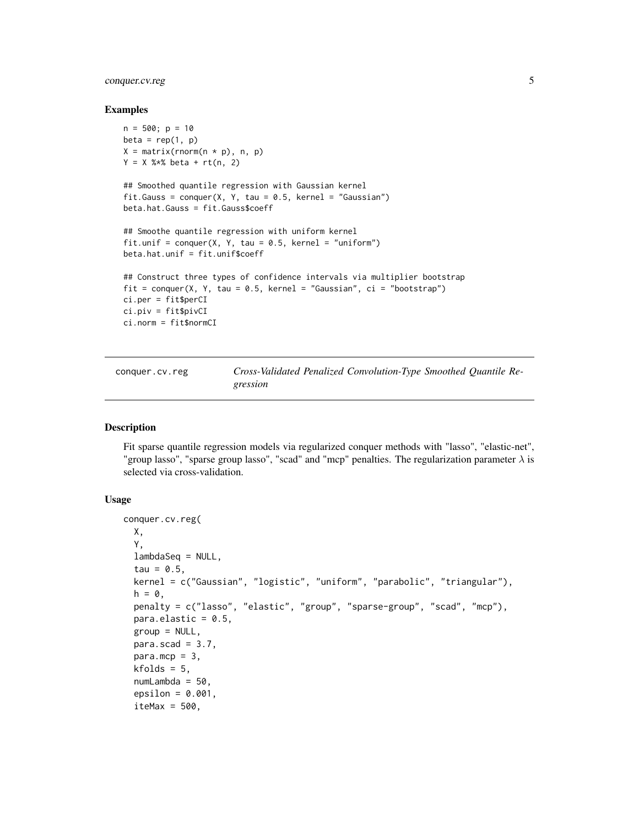#### <span id="page-4-0"></span>conquer.cv.reg 5

#### Examples

```
n = 500; p = 10beta = rep(1, p)X = matrix(rnorm(n * p), n, p)Y = X %*% beta + rt(n, 2)## Smoothed quantile regression with Gaussian kernel
fit.Gauss = conquer(X, Y, tau = 0.5, kernel = "Gaussian")beta.hat.Gauss = fit.Gauss$coeff
## Smoothe quantile regression with uniform kernel
fit.unif = conquer(X, Y, tau = 0.5, kernel = "uniform")
beta.hat.unif = fit.unif$coeff
## Construct three types of confidence intervals via multiplier bootstrap
fit = conquer(X, Y, tau = 0.5, kernel = "Gaussian", ci = "bootstrap")
ci.per = fit$perCI
ci.piv = fit$pivCI
ci.norm = fit$normCI
```
<span id="page-4-1"></span>conquer.cv.reg *Cross-Validated Penalized Convolution-Type Smoothed Quantile Regression*

#### Description

Fit sparse quantile regression models via regularized conquer methods with "lasso", "elastic-net", "group lasso", "sparse group lasso", "scad" and "mcp" penalties. The regularization parameter  $\lambda$  is selected via cross-validation.

#### Usage

```
conquer.cv.reg(
 X,
 Y,
 lambdaSeq = NULL,
  tau = 0.5,
  kernel = c("Gaussian", "logistic", "uniform", "parabolic", "triangular"),
  h = 0,
 penalty = c("lasso", "elastic", "group", "sparse-group", "scad", "mcp"),
 para.elastic = 0.5,
  group = NULL,para.scad = 3.7,
 para.mcp = 3,
 kfolds = 5,
  numLambda = 50,
  epsilon = 0.001,
  itemax = 500,
```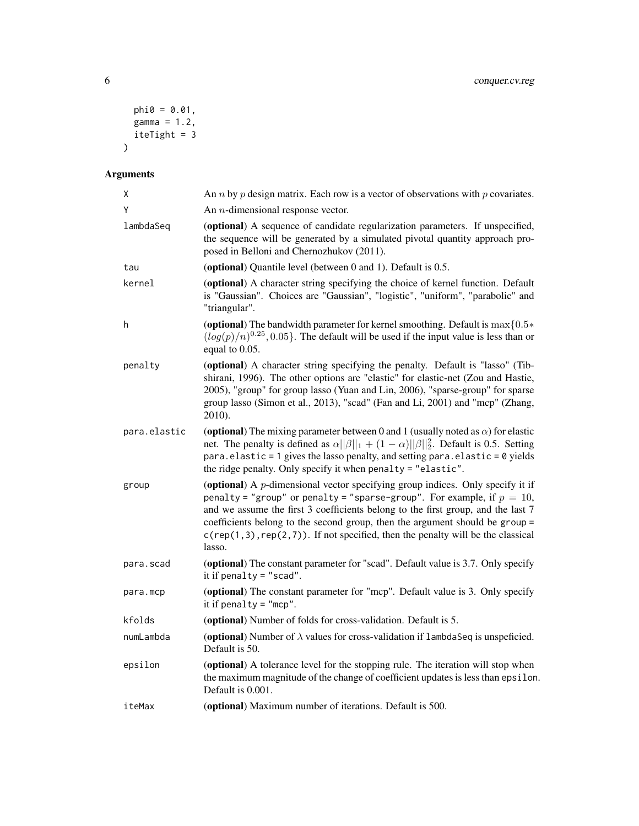```
phi0 = 0.01,
   gamma = 1.2,
  iteTight = 3\overline{)}
```
### Arguments

| Χ            | An <i>n</i> by <i>p</i> design matrix. Each row is a vector of observations with <i>p</i> covariates.                                                                                                                                                                                                                                                                                                                              |
|--------------|------------------------------------------------------------------------------------------------------------------------------------------------------------------------------------------------------------------------------------------------------------------------------------------------------------------------------------------------------------------------------------------------------------------------------------|
| Y            | An $n$ -dimensional response vector.                                                                                                                                                                                                                                                                                                                                                                                               |
| lambdaSeq    | (optional) A sequence of candidate regularization parameters. If unspecified,<br>the sequence will be generated by a simulated pivotal quantity approach pro-<br>posed in Belloni and Chernozhukov (2011).                                                                                                                                                                                                                         |
| tau          | (optional) Quantile level (between 0 and 1). Default is 0.5.                                                                                                                                                                                                                                                                                                                                                                       |
| kernel       | (optional) A character string specifying the choice of kernel function. Default<br>is "Gaussian". Choices are "Gaussian", "logistic", "uniform", "parabolic" and<br>"triangular".                                                                                                                                                                                                                                                  |
| h            | (optional) The bandwidth parameter for kernel smoothing. Default is $\max\{0.5*$<br>$(log(p)/n)^{0.25}$ , 0.05}. The default will be used if the input value is less than or<br>equal to 0.05.                                                                                                                                                                                                                                     |
| penalty      | (optional) A character string specifying the penalty. Default is "lasso" (Tib-<br>shirani, 1996). The other options are "elastic" for elastic-net (Zou and Hastie,<br>2005), "group" for group lasso (Yuan and Lin, 2006), "sparse-group" for sparse<br>group lasso (Simon et al., 2013), "scad" (Fan and Li, 2001) and "mcp" (Zhang,<br>2010).                                                                                    |
| para.elastic | (optional) The mixing parameter between 0 and 1 (usually noted as $\alpha$ ) for elastic<br>net. The penalty is defined as $\alpha   \beta  _1 + (1 - \alpha)   \beta  _2^2$ . Default is 0.5. Setting<br>para.elastic = 1 gives the lasso penalty, and setting para.elastic = 0 yields<br>the ridge penalty. Only specify it when penalty = "elastic".                                                                            |
| group        | (optional) A $p$ -dimensional vector specifying group indices. Only specify it if<br>penalty = "group" or penalty = "sparse-group". For example, if $p = 10$ ,<br>and we assume the first 3 coefficients belong to the first group, and the last 7<br>coefficients belong to the second group, then the argument should be group =<br>$c$ (rep(1,3), rep(2,7)). If not specified, then the penalty will be the classical<br>lasso. |
| para.scad    | (optional) The constant parameter for "scad". Default value is 3.7. Only specify<br>it if penalty = $"$ scad".                                                                                                                                                                                                                                                                                                                     |
| para.mcp     | (optional) The constant parameter for "mcp". Default value is 3. Only specify<br>it if penalty = $"mcp"$ .                                                                                                                                                                                                                                                                                                                         |
| kfolds       | (optional) Number of folds for cross-validation. Default is 5.                                                                                                                                                                                                                                                                                                                                                                     |
| numLambda    | (optional) Number of $\lambda$ values for cross-validation if $\lambda$ ambda Seq is unspeficied.<br>Default is 50.                                                                                                                                                                                                                                                                                                                |
| epsilon      | (optional) A tolerance level for the stopping rule. The iteration will stop when<br>the maximum magnitude of the change of coefficient updates is less than epsilon.<br>Default is 0.001.                                                                                                                                                                                                                                          |
| iteMax       | (optional) Maximum number of iterations. Default is 500.                                                                                                                                                                                                                                                                                                                                                                           |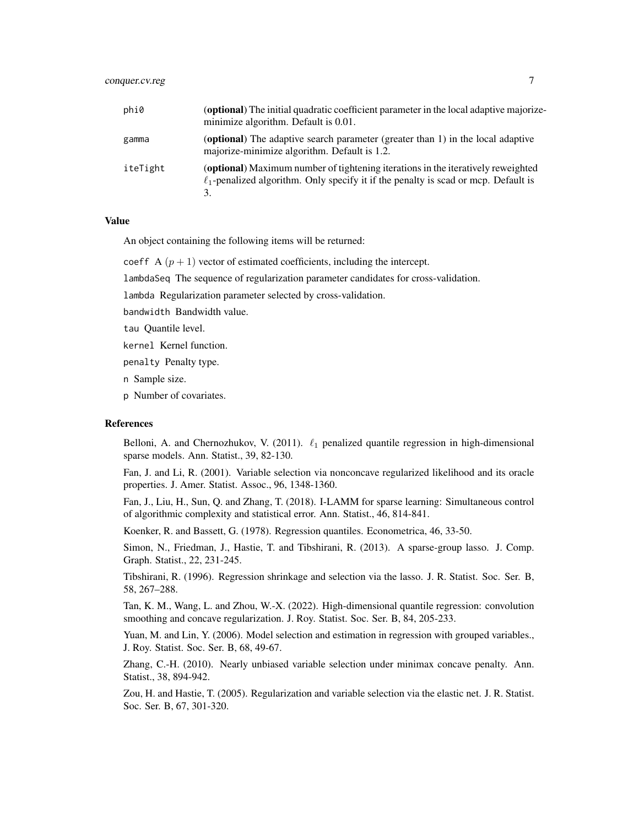| phi0     | ( <b>optional</b> ) The initial quadratic coefficient parameter in the local adaptive majorize-<br>minimize algorithm. Default is 0.01.                                            |
|----------|------------------------------------------------------------------------------------------------------------------------------------------------------------------------------------|
| gamma    | ( <b>optional</b> ) The adaptive search parameter (greater than 1) in the local adaptive<br>majorize-minimize algorithm. Default is 1.2.                                           |
| iteTight | (optional) Maximum number of tightening iterations in the iteratively reweighted<br>$\ell_1$ -penalized algorithm. Only specify it if the penalty is scad or mcp. Default is<br>3. |

#### Value

An object containing the following items will be returned:

coeff A  $(p + 1)$  vector of estimated coefficients, including the intercept.

lambdaSeq The sequence of regularization parameter candidates for cross-validation.

lambda Regularization parameter selected by cross-validation.

bandwidth Bandwidth value.

tau Quantile level.

kernel Kernel function.

penalty Penalty type.

n Sample size.

p Number of covariates.

#### References

Belloni, A. and Chernozhukov, V. (2011).  $\ell_1$  penalized quantile regression in high-dimensional sparse models. Ann. Statist., 39, 82-130.

Fan, J. and Li, R. (2001). Variable selection via nonconcave regularized likelihood and its oracle properties. J. Amer. Statist. Assoc., 96, 1348-1360.

Fan, J., Liu, H., Sun, Q. and Zhang, T. (2018). I-LAMM for sparse learning: Simultaneous control of algorithmic complexity and statistical error. Ann. Statist., 46, 814-841.

Koenker, R. and Bassett, G. (1978). Regression quantiles. Econometrica, 46, 33-50.

Simon, N., Friedman, J., Hastie, T. and Tibshirani, R. (2013). A sparse-group lasso. J. Comp. Graph. Statist., 22, 231-245.

Tibshirani, R. (1996). Regression shrinkage and selection via the lasso. J. R. Statist. Soc. Ser. B, 58, 267–288.

Tan, K. M., Wang, L. and Zhou, W.-X. (2022). High-dimensional quantile regression: convolution smoothing and concave regularization. J. Roy. Statist. Soc. Ser. B, 84, 205-233.

Yuan, M. and Lin, Y. (2006). Model selection and estimation in regression with grouped variables., J. Roy. Statist. Soc. Ser. B, 68, 49-67.

Zhang, C.-H. (2010). Nearly unbiased variable selection under minimax concave penalty. Ann. Statist., 38, 894-942.

Zou, H. and Hastie, T. (2005). Regularization and variable selection via the elastic net. J. R. Statist. Soc. Ser. B, 67, 301-320.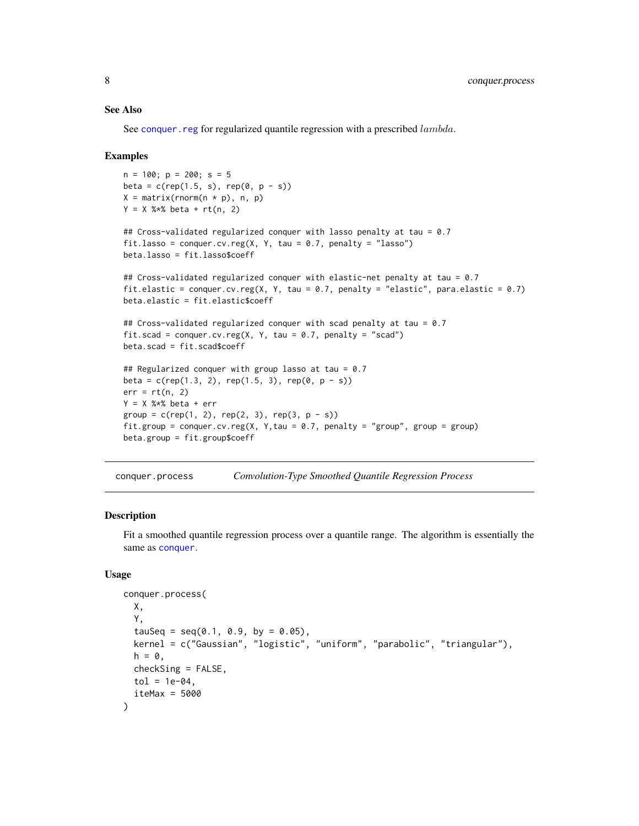#### <span id="page-7-0"></span>See Also

See conquer. reg for regularized quantile regression with a prescribed  $lambda$ .

#### Examples

```
n = 100; p = 200; s = 5beta = c(rep(1.5, s), rep(0, p - s))X = matrix(rnorm(n * p), n, p)Y = X % *% beta + rt(n, 2)
## Cross-validated regularized conquer with lasso penalty at tau = 0.7
fit.lasso = conquer.cv.reg(X, Y, tau = 0.7, penalty = "lasso")
beta.lasso = fit.lasso$coeff
## Cross-validated regularized conquer with elastic-net penalty at tau = 0.7
fit.elastic = conquer.cv.reg(X, Y, tau = 0.7, penalty = "elastic", para.elastic = 0.7)
beta.elastic = fit.elastic$coeff
## Cross-validated regularized conquer with scad penalty at tau = 0.7
fit.scad = conquer.cv.reg(X, Y, tau = 0.7, penalty = "scad")
beta.scad = fit.scad$coeff
## Regularized conquer with group lasso at tau = 0.7
beta = c(rep(1.3, 2), rep(1.5, 3), rep(0, p - s))err = rt(n, 2)Y = X %*% beta + errgroup = c(rep(1, 2), rep(2, 3), rep(3, p - s))fit.group = conquer.cv.reg(X, Y,tau = 0.7, penalty = "group", group = group)
beta.group = fit.group$coeff
```
<span id="page-7-1"></span>conquer.process *Convolution-Type Smoothed Quantile Regression Process*

#### Description

Fit a smoothed quantile regression process over a quantile range. The algorithm is essentially the same as [conquer](#page-2-1).

#### Usage

```
conquer.process(
 X,
 Y,
  tauSeq = seq(0.1, 0.9, by = 0.05),
 kernel = c("Gaussian", "logistic", "uniform", "parabolic", "triangular"),
 h = 0,
 checkSing = FALSE,
 tol = 1e-04,iteMax = 5000
)
```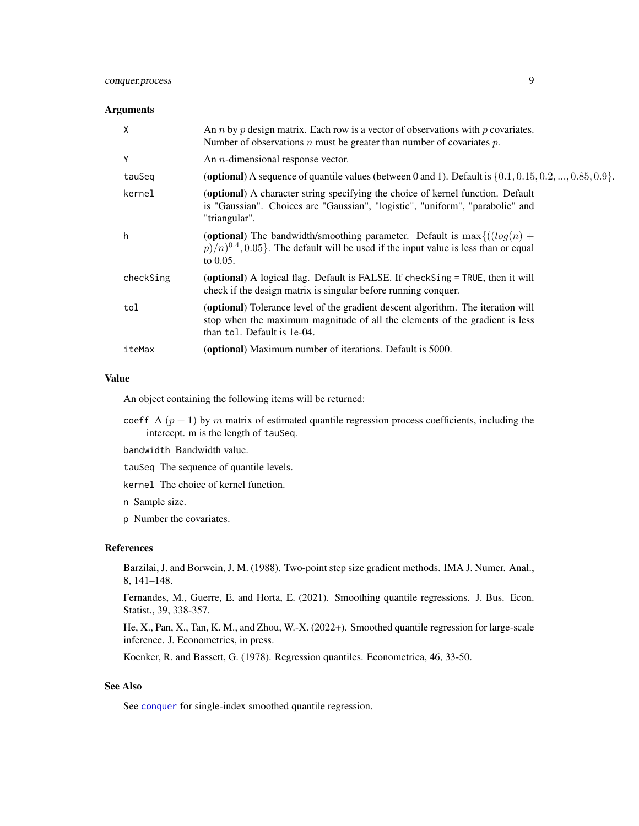#### <span id="page-8-0"></span>conquer.process 9

#### **Arguments**

| X         | An <i>n</i> by <i>p</i> design matrix. Each row is a vector of observations with <i>p</i> covariates.<br>Number of observations $n$ must be greater than number of covariates $p$ .            |
|-----------|------------------------------------------------------------------------------------------------------------------------------------------------------------------------------------------------|
| Y         | An $n$ -dimensional response vector.                                                                                                                                                           |
| tauSeq    | (optional) A sequence of quantile values (between 0 and 1). Default is $\{0.1, 0.15, 0.2, , 0.85, 0.9\}$ .                                                                                     |
| kernel    | (optional) A character string specifying the choice of kernel function. Default<br>is "Gaussian". Choices are "Gaussian", "logistic", "uniform", "parabolic" and<br>"triangular".              |
| h         | (optional) The bandwidth/smoothing parameter. Default is $\max\{((log(n) +$<br>$p/n^{0.4}$ , 0.05. The default will be used if the input value is less than or equal<br>to $0.05$ .            |
| checkSing | (optional) A logical flag. Default is FALSE. If checkSing = TRUE, then it will<br>check if the design matrix is singular before running conquer.                                               |
| tol       | (optional) Tolerance level of the gradient descent algorithm. The iteration will<br>stop when the maximum magnitude of all the elements of the gradient is less<br>than tol. Default is 1e-04. |
| iteMax    | <b>(optional)</b> Maximum number of iterations. Default is 5000.                                                                                                                               |

#### Value

An object containing the following items will be returned:

- coeff A  $(p + 1)$  by m matrix of estimated quantile regression process coefficients, including the intercept. m is the length of tauSeq.
- bandwidth Bandwidth value.

tauSeq The sequence of quantile levels.

kernel The choice of kernel function.

n Sample size.

p Number the covariates.

#### References

Barzilai, J. and Borwein, J. M. (1988). Two-point step size gradient methods. IMA J. Numer. Anal., 8, 141–148.

Fernandes, M., Guerre, E. and Horta, E. (2021). Smoothing quantile regressions. J. Bus. Econ. Statist., 39, 338-357.

He, X., Pan, X., Tan, K. M., and Zhou, W.-X. (2022+). Smoothed quantile regression for large-scale inference. J. Econometrics, in press.

Koenker, R. and Bassett, G. (1978). Regression quantiles. Econometrica, 46, 33-50.

#### See Also

See [conquer](#page-2-1) for single-index smoothed quantile regression.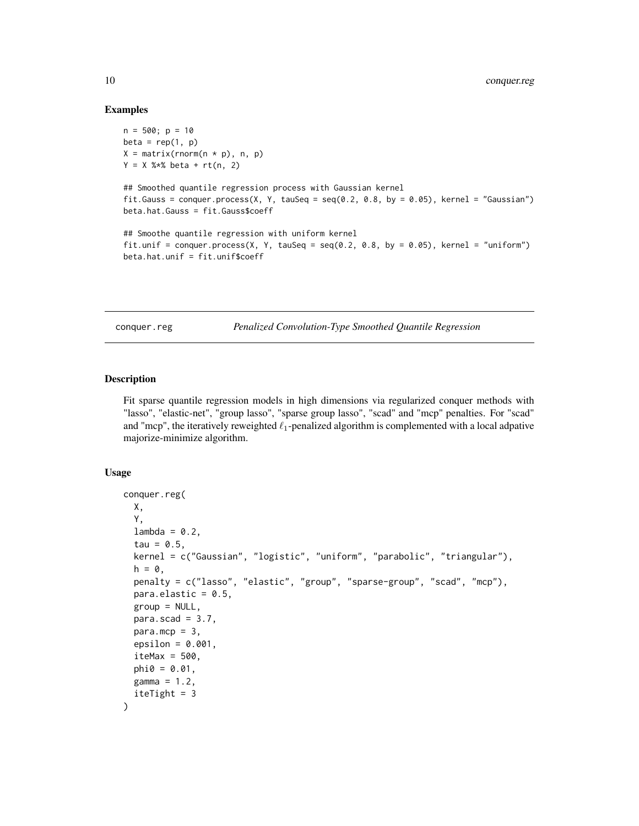#### Examples

```
n = 500; p = 10beta = rep(1, p)X = matrix(rnorm(n * p), n, p)Y = X % * beta + rt(n, 2)## Smoothed quantile regression process with Gaussian kernel
fit.Gauss = conquer.process(X, Y, tauSeq = seq(0.2, 0.8, by = 0.05), kernel = "Gaussian")
beta.hat.Gauss = fit.Gauss$coeff
## Smoothe quantile regression with uniform kernel
fit.unif = conquer.process(X, Y, tauSeq = seq(0.2, 0.8, by = 0.05), kernel = "uniform")
beta.hat.unif = fit.unif$coeff
```
<span id="page-9-1"></span>conquer.reg *Penalized Convolution-Type Smoothed Quantile Regression*

#### **Description**

Fit sparse quantile regression models in high dimensions via regularized conquer methods with "lasso", "elastic-net", "group lasso", "sparse group lasso", "scad" and "mcp" penalties. For "scad" and "mcp", the iteratively reweighted  $\ell_1$ -penalized algorithm is complemented with a local adpative majorize-minimize algorithm.

#### Usage

```
conquer.reg(
 X,
 Y,
  lambda = 0.2,
  tau = 0.5,
  kernel = c("Gaussian", "logistic", "uniform", "parabolic", "triangular"),
 h = 0,
 penalty = c("lasso", "elastic", "group", "sparse-group", "scad", "mcp"),
  para.elastic = 0.5,
  group = NULL,
 para.scad = 3.7,
 para.mcp = 3,
  epsilon = 0.001,
  iteMax = 500,
 phi = 0.01.
 gamma = 1.2,
  iteright = 3)
```
<span id="page-9-0"></span>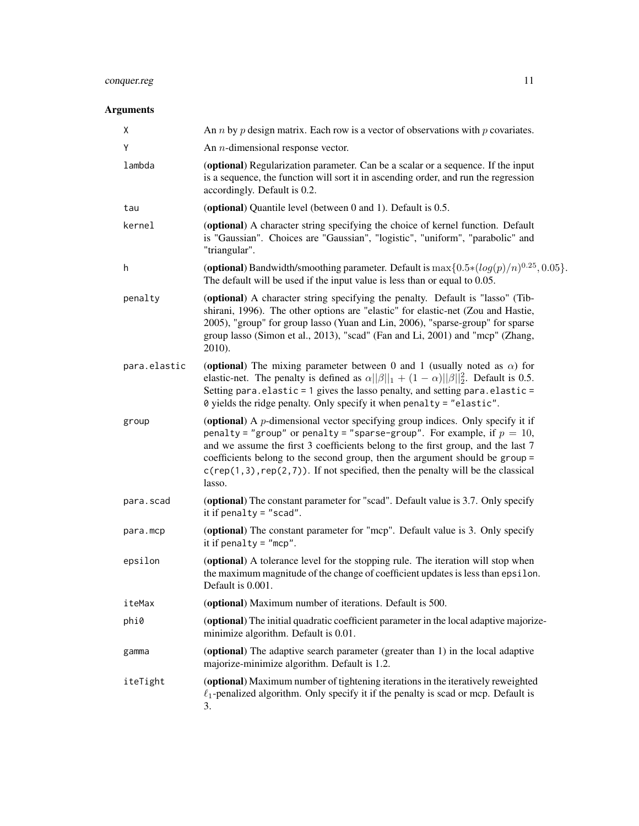### conquer.reg 11

#### Arguments

| Χ            | An <i>n</i> by <i>p</i> design matrix. Each row is a vector of observations with <i>p</i> covariates.                                                                                                                                                                                                                                                                                                                              |
|--------------|------------------------------------------------------------------------------------------------------------------------------------------------------------------------------------------------------------------------------------------------------------------------------------------------------------------------------------------------------------------------------------------------------------------------------------|
| Y            | An $n$ -dimensional response vector.                                                                                                                                                                                                                                                                                                                                                                                               |
| lambda       | (optional) Regularization parameter. Can be a scalar or a sequence. If the input<br>is a sequence, the function will sort it in ascending order, and run the regression<br>accordingly. Default is 0.2.                                                                                                                                                                                                                            |
| tau          | (optional) Quantile level (between 0 and 1). Default is 0.5.                                                                                                                                                                                                                                                                                                                                                                       |
| kernel       | (optional) A character string specifying the choice of kernel function. Default<br>is "Gaussian". Choices are "Gaussian", "logistic", "uniform", "parabolic" and<br>"triangular".                                                                                                                                                                                                                                                  |
| h            | (optional) Bandwidth/smoothing parameter. Default is $\max\{0.5*(log(p)/n)^{0.25}, 0.05\}$ .<br>The default will be used if the input value is less than or equal to 0.05.                                                                                                                                                                                                                                                         |
| penalty      | (optional) A character string specifying the penalty. Default is "lasso" (Tib-<br>shirani, 1996). The other options are "elastic" for elastic-net (Zou and Hastie,<br>2005), "group" for group lasso (Yuan and Lin, 2006), "sparse-group" for sparse<br>group lasso (Simon et al., 2013), "scad" (Fan and Li, 2001) and "mcp" (Zhang,<br>2010).                                                                                    |
| para.elastic | (optional) The mixing parameter between 0 and 1 (usually noted as $\alpha$ ) for<br>elastic-net. The penalty is defined as $\alpha  \beta  _1 + (1 - \alpha)  \beta  _2^2$ . Default is 0.5.<br>Setting para.elastic = 1 gives the lasso penalty, and setting para.elastic =<br>0 yields the ridge penalty. Only specify it when penalty = "elastic".                                                                              |
| group        | (optional) A $p$ -dimensional vector specifying group indices. Only specify it if<br>penalty = "group" or penalty = "sparse-group". For example, if $p = 10$ ,<br>and we assume the first 3 coefficients belong to the first group, and the last 7<br>coefficients belong to the second group, then the argument should be group =<br>$c$ (rep(1,3), rep(2,7)). If not specified, then the penalty will be the classical<br>lasso. |
| para.scad    | (optional) The constant parameter for "scad". Default value is 3.7. Only specify<br>it if penalty = $"scal"$ .                                                                                                                                                                                                                                                                                                                     |
| para.mcp     | (optional) The constant parameter for "mcp". Default value is 3. Only specify<br>it if penalty = $"mcp"$ .                                                                                                                                                                                                                                                                                                                         |
| epsilon      | (optional) A tolerance level for the stopping rule. The iteration will stop when<br>the maximum magnitude of the change of coefficient updates is less than epsilon.<br>Default is 0.001.                                                                                                                                                                                                                                          |
| iteMax       | (optional) Maximum number of iterations. Default is 500.                                                                                                                                                                                                                                                                                                                                                                           |
| phi0         | (optional) The initial quadratic coefficient parameter in the local adaptive majorize-<br>minimize algorithm. Default is 0.01.                                                                                                                                                                                                                                                                                                     |
| gamma        | (optional) The adaptive search parameter (greater than 1) in the local adaptive<br>majorize-minimize algorithm. Default is 1.2.                                                                                                                                                                                                                                                                                                    |
| iteTight     | (optional) Maximum number of tightening iterations in the iteratively reweighted<br>$\ell_1$ -penalized algorithm. Only specify it if the penalty is scad or mcp. Default is<br>3.                                                                                                                                                                                                                                                 |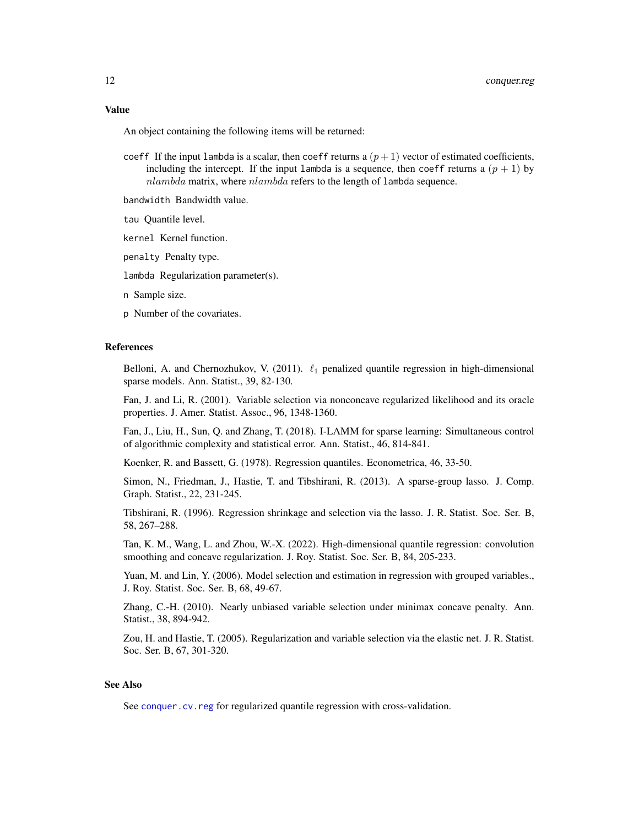#### <span id="page-11-0"></span>Value

An object containing the following items will be returned:

- coeff If the input lambda is a scalar, then coeff returns a  $(p+1)$  vector of estimated coefficients, including the intercept. If the input lambda is a sequence, then coeff returns a  $(p + 1)$  by nlambda matrix, where nlambda refers to the length of lambda sequence.
- bandwidth Bandwidth value.
- tau Quantile level.
- kernel Kernel function.
- penalty Penalty type.
- lambda Regularization parameter(s).
- n Sample size.
- p Number of the covariates.

#### References

Belloni, A. and Chernozhukov, V. (2011).  $\ell_1$  penalized quantile regression in high-dimensional sparse models. Ann. Statist., 39, 82-130.

Fan, J. and Li, R. (2001). Variable selection via nonconcave regularized likelihood and its oracle properties. J. Amer. Statist. Assoc., 96, 1348-1360.

Fan, J., Liu, H., Sun, Q. and Zhang, T. (2018). I-LAMM for sparse learning: Simultaneous control of algorithmic complexity and statistical error. Ann. Statist., 46, 814-841.

Koenker, R. and Bassett, G. (1978). Regression quantiles. Econometrica, 46, 33-50.

Simon, N., Friedman, J., Hastie, T. and Tibshirani, R. (2013). A sparse-group lasso. J. Comp. Graph. Statist., 22, 231-245.

Tibshirani, R. (1996). Regression shrinkage and selection via the lasso. J. R. Statist. Soc. Ser. B, 58, 267–288.

Tan, K. M., Wang, L. and Zhou, W.-X. (2022). High-dimensional quantile regression: convolution smoothing and concave regularization. J. Roy. Statist. Soc. Ser. B, 84, 205-233.

Yuan, M. and Lin, Y. (2006). Model selection and estimation in regression with grouped variables., J. Roy. Statist. Soc. Ser. B, 68, 49-67.

Zhang, C.-H. (2010). Nearly unbiased variable selection under minimax concave penalty. Ann. Statist., 38, 894-942.

Zou, H. and Hastie, T. (2005). Regularization and variable selection via the elastic net. J. R. Statist. Soc. Ser. B, 67, 301-320.

#### See Also

See [conquer.cv.reg](#page-4-1) for regularized quantile regression with cross-validation.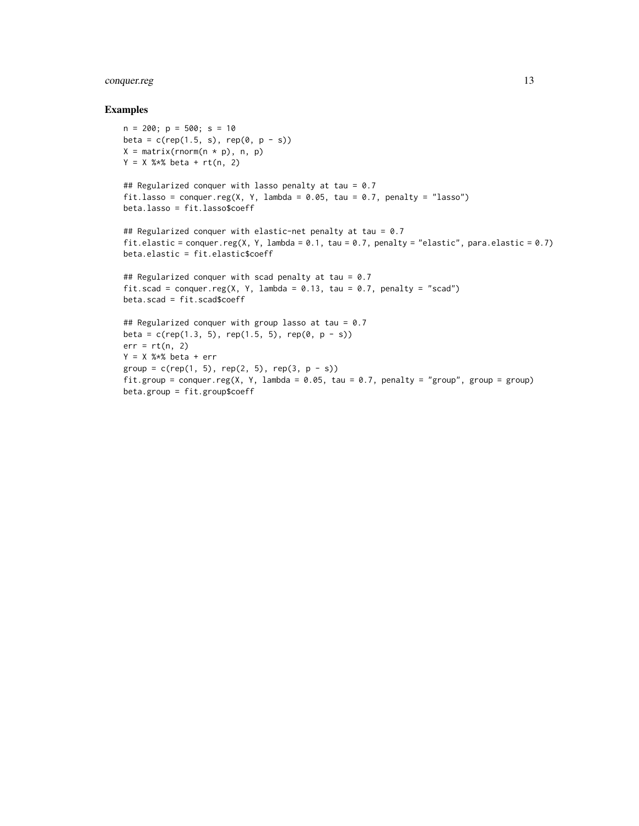#### conquer.reg 13

#### Examples

```
n = 200; p = 500; s = 10beta = c(rep(1.5, s), rep(0, p - s))X = matrix(rnorm(n * p), n, p)Y = X %*% beta + rt(n, 2)
## Regularized conquer with lasso penalty at tau = 0.7
fit.lasso = conquer.reg(X, Y, lambda = 0.05, tau = 0.7, penalty = "lasso")
beta.lasso = fit.lasso$coeff
## Regularized conquer with elastic-net penalty at tau = 0.7
fit.elastic = conquer.reg(X, Y, lambda = 0.1, tau = 0.7, penalty = "elastic", para.elastic = 0.7)
beta.elastic = fit.elastic$coeff
## Regularized conquer with scad penalty at tau = 0.7fit.scad = conquer.reg(X, Y, lambda = 0.13, tau = 0.7, penalty = "scad")
beta.scad = fit.scad$coeff
## Regularized conquer with group lasso at tau = 0.7
beta = c(rep(1.3, 5), rep(1.5, 5), rep(0, p - s))err = rt(n, 2)Y = X %*% beta + err
group = c(rep(1, 5), rep(2, 5), rep(3, p - s))fit.group = conquer.reg(X, Y, lambda = 0.05, tau = 0.7, penalty = "group", group = group)
beta.group = fit.group$coeff
```